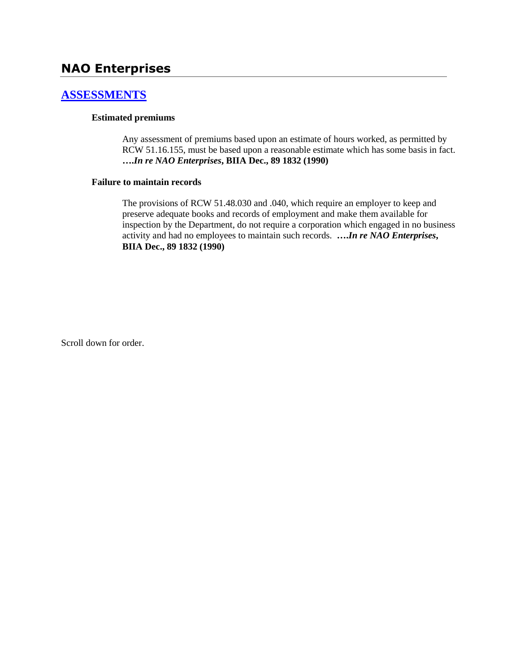# **NAO Enterprises**

### **[ASSESSMENTS](http://www.biia.wa.gov/SDSubjectIndex.html#ASSESSMENTS)**

### **Estimated premiums**

Any assessment of premiums based upon an estimate of hours worked, as permitted by RCW 51.16.155, must be based upon a reasonable estimate which has some basis in fact. **….***In re NAO Enterprises***, BIIA Dec., 89 1832 (1990)**

### **Failure to maintain records**

The provisions of RCW 51.48.030 and .040, which require an employer to keep and preserve adequate books and records of employment and make them available for inspection by the Department, do not require a corporation which engaged in no business activity and had no employees to maintain such records. **….***In re NAO Enterprises***, BIIA Dec., 89 1832 (1990)**

Scroll down for order.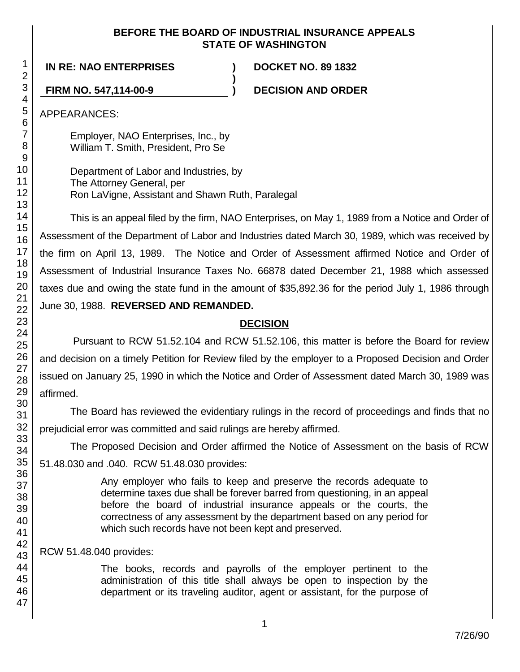### **BEFORE THE BOARD OF INDUSTRIAL INSURANCE APPEALS STATE OF WASHINGTON**

**)**

**IN RE: NAO ENTERPRISES ) DOCKET NO. 89 1832**

**FIRM NO. 547,114-00-9 ) DECISION AND ORDER**

APPEARANCES:

Employer, NAO Enterprises, Inc., by William T. Smith, President, Pro Se

Department of Labor and Industries, by The Attorney General, per Ron LaVigne, Assistant and Shawn Ruth, Paralegal

This is an appeal filed by the firm, NAO Enterprises, on May 1, 1989 from a Notice and Order of Assessment of the Department of Labor and Industries dated March 30, 1989, which was received by the firm on April 13, 1989. The Notice and Order of Assessment affirmed Notice and Order of Assessment of Industrial Insurance Taxes No. 66878 dated December 21, 1988 which assessed taxes due and owing the state fund in the amount of \$35,892.36 for the period July 1, 1986 through June 30, 1988. **REVERSED AND REMANDED.**

## **DECISION**

Pursuant to RCW 51.52.104 and RCW 51.52.106, this matter is before the Board for review and decision on a timely Petition for Review filed by the employer to a Proposed Decision and Order issued on January 25, 1990 in which the Notice and Order of Assessment dated March 30, 1989 was affirmed.

The Board has reviewed the evidentiary rulings in the record of proceedings and finds that no prejudicial error was committed and said rulings are hereby affirmed.

The Proposed Decision and Order affirmed the Notice of Assessment on the basis of RCW 51.48.030 and .040. RCW 51.48.030 provides:

> Any employer who fails to keep and preserve the records adequate to determine taxes due shall be forever barred from questioning, in an appeal before the board of industrial insurance appeals or the courts, the correctness of any assessment by the department based on any period for which such records have not been kept and preserved.

RCW 51.48.040 provides:

The books, records and payrolls of the employer pertinent to the administration of this title shall always be open to inspection by the department or its traveling auditor, agent or assistant, for the purpose of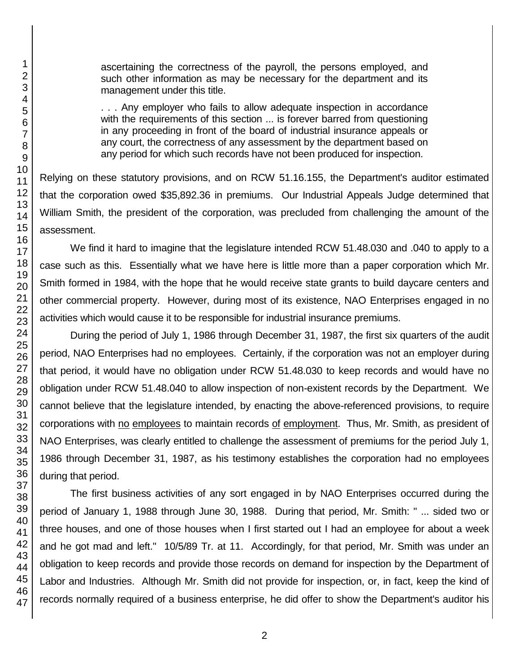ascertaining the correctness of the payroll, the persons employed, and such other information as may be necessary for the department and its management under this title.

. . . Any employer who fails to allow adequate inspection in accordance with the requirements of this section ... is forever barred from questioning in any proceeding in front of the board of industrial insurance appeals or any court, the correctness of any assessment by the department based on any period for which such records have not been produced for inspection.

Relying on these statutory provisions, and on RCW 51.16.155, the Department's auditor estimated that the corporation owed \$35,892.36 in premiums. Our Industrial Appeals Judge determined that William Smith, the president of the corporation, was precluded from challenging the amount of the assessment.

We find it hard to imagine that the legislature intended RCW 51.48.030 and .040 to apply to a case such as this. Essentially what we have here is little more than a paper corporation which Mr. Smith formed in 1984, with the hope that he would receive state grants to build daycare centers and other commercial property. However, during most of its existence, NAO Enterprises engaged in no activities which would cause it to be responsible for industrial insurance premiums.

During the period of July 1, 1986 through December 31, 1987, the first six quarters of the audit period, NAO Enterprises had no employees. Certainly, if the corporation was not an employer during that period, it would have no obligation under RCW 51.48.030 to keep records and would have no obligation under RCW 51.48.040 to allow inspection of non-existent records by the Department. We cannot believe that the legislature intended, by enacting the above-referenced provisions, to require corporations with no employees to maintain records of employment. Thus, Mr. Smith, as president of NAO Enterprises, was clearly entitled to challenge the assessment of premiums for the period July 1, 1986 through December 31, 1987, as his testimony establishes the corporation had no employees during that period.

The first business activities of any sort engaged in by NAO Enterprises occurred during the period of January 1, 1988 through June 30, 1988. During that period, Mr. Smith: " ... sided two or three houses, and one of those houses when I first started out I had an employee for about a week and he got mad and left." 10/5/89 Tr. at 11. Accordingly, for that period, Mr. Smith was under an obligation to keep records and provide those records on demand for inspection by the Department of Labor and Industries. Although Mr. Smith did not provide for inspection, or, in fact, keep the kind of records normally required of a business enterprise, he did offer to show the Department's auditor his

1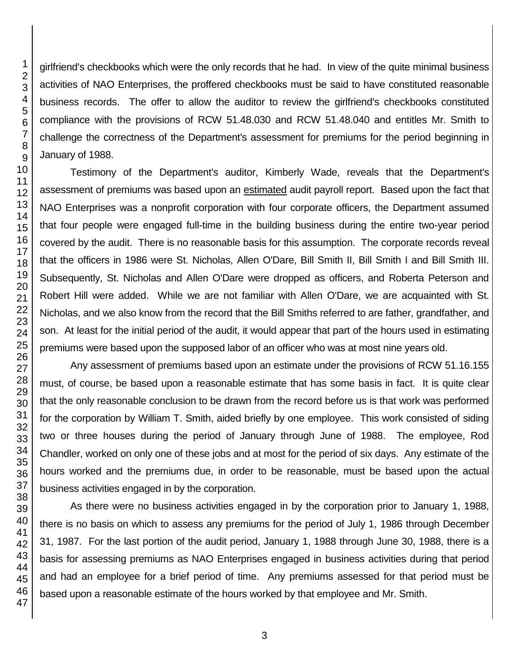girlfriend's checkbooks which were the only records that he had. In view of the quite minimal business activities of NAO Enterprises, the proffered checkbooks must be said to have constituted reasonable business records. The offer to allow the auditor to review the girlfriend's checkbooks constituted compliance with the provisions of RCW 51.48.030 and RCW 51.48.040 and entitles Mr. Smith to challenge the correctness of the Department's assessment for premiums for the period beginning in January of 1988.

Testimony of the Department's auditor, Kimberly Wade, reveals that the Department's assessment of premiums was based upon an estimated audit payroll report. Based upon the fact that NAO Enterprises was a nonprofit corporation with four corporate officers, the Department assumed that four people were engaged full-time in the building business during the entire two-year period covered by the audit. There is no reasonable basis for this assumption. The corporate records reveal that the officers in 1986 were St. Nicholas, Allen O'Dare, Bill Smith II, Bill Smith I and Bill Smith III. Subsequently, St. Nicholas and Allen O'Dare were dropped as officers, and Roberta Peterson and Robert Hill were added. While we are not familiar with Allen O'Dare, we are acquainted with St. Nicholas, and we also know from the record that the Bill Smiths referred to are father, grandfather, and son. At least for the initial period of the audit, it would appear that part of the hours used in estimating premiums were based upon the supposed labor of an officer who was at most nine years old.

Any assessment of premiums based upon an estimate under the provisions of RCW 51.16.155 must, of course, be based upon a reasonable estimate that has some basis in fact. It is quite clear that the only reasonable conclusion to be drawn from the record before us is that work was performed for the corporation by William T. Smith, aided briefly by one employee. This work consisted of siding two or three houses during the period of January through June of 1988. The employee, Rod Chandler, worked on only one of these jobs and at most for the period of six days. Any estimate of the hours worked and the premiums due, in order to be reasonable, must be based upon the actual business activities engaged in by the corporation.

As there were no business activities engaged in by the corporation prior to January 1, 1988, there is no basis on which to assess any premiums for the period of July 1, 1986 through December 31, 1987. For the last portion of the audit period, January 1, 1988 through June 30, 1988, there is a basis for assessing premiums as NAO Enterprises engaged in business activities during that period and had an employee for a brief period of time. Any premiums assessed for that period must be based upon a reasonable estimate of the hours worked by that employee and Mr. Smith.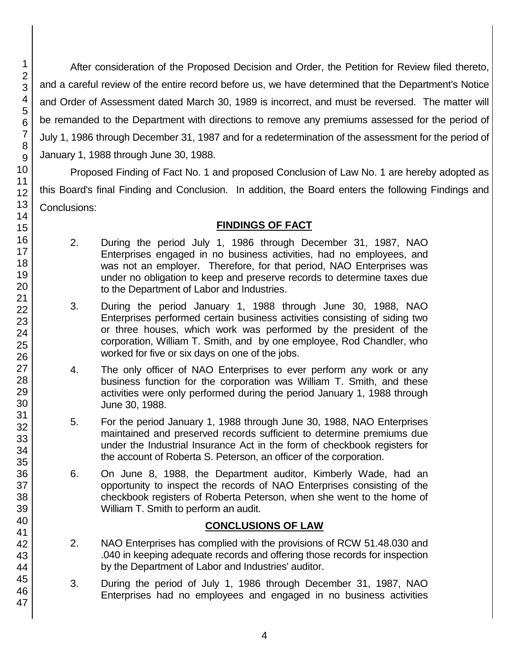After consideration of the Proposed Decision and Order, the Petition for Review filed thereto, and a careful review of the entire record before us, we have determined that the Department's Notice and Order of Assessment dated March 30, 1989 is incorrect, and must be reversed. The matter will be remanded to the Department with directions to remove any premiums assessed for the period of July 1, 1986 through December 31, 1987 and for a redetermination of the assessment for the period of January 1, 1988 through June 30, 1988.

Proposed Finding of Fact No. 1 and proposed Conclusion of Law No. 1 are hereby adopted as this Board's final Finding and Conclusion. In addition, the Board enters the following Findings and Conclusions:

## **FINDINGS OF FACT**

- 2. During the period July 1, 1986 through December 31, 1987, NAO Enterprises engaged in no business activities, had no employees, and was not an employer. Therefore, for that period, NAO Enterprises was under no obligation to keep and preserve records to determine taxes due to the Department of Labor and Industries.
- 3. During the period January 1, 1988 through June 30, 1988, NAO Enterprises performed certain business activities consisting of siding two or three houses, which work was performed by the president of the corporation, William T. Smith, and by one employee, Rod Chandler, who worked for five or six days on one of the jobs.
- 4. The only officer of NAO Enterprises to ever perform any work or any business function for the corporation was William T. Smith, and these activities were only performed during the period January 1, 1988 through June 30, 1988.
- 5. For the period January 1, 1988 through June 30, 1988, NAO Enterprises maintained and preserved records sufficient to determine premiums due under the Industrial Insurance Act in the form of checkbook registers for the account of Roberta S. Peterson, an officer of the corporation.
- 6. On June 8, 1988, the Department auditor, Kimberly Wade, had an opportunity to inspect the records of NAO Enterprises consisting of the checkbook registers of Roberta Peterson, when she went to the home of William T. Smith to perform an audit.

### **CONCLUSIONS OF LAW**

- 2. NAO Enterprises has complied with the provisions of RCW 51.48.030 and .040 in keeping adequate records and offering those records for inspection by the Department of Labor and Industries' auditor.
- 3. During the period of July 1, 1986 through December 31, 1987, NAO Enterprises had no employees and engaged in no business activities